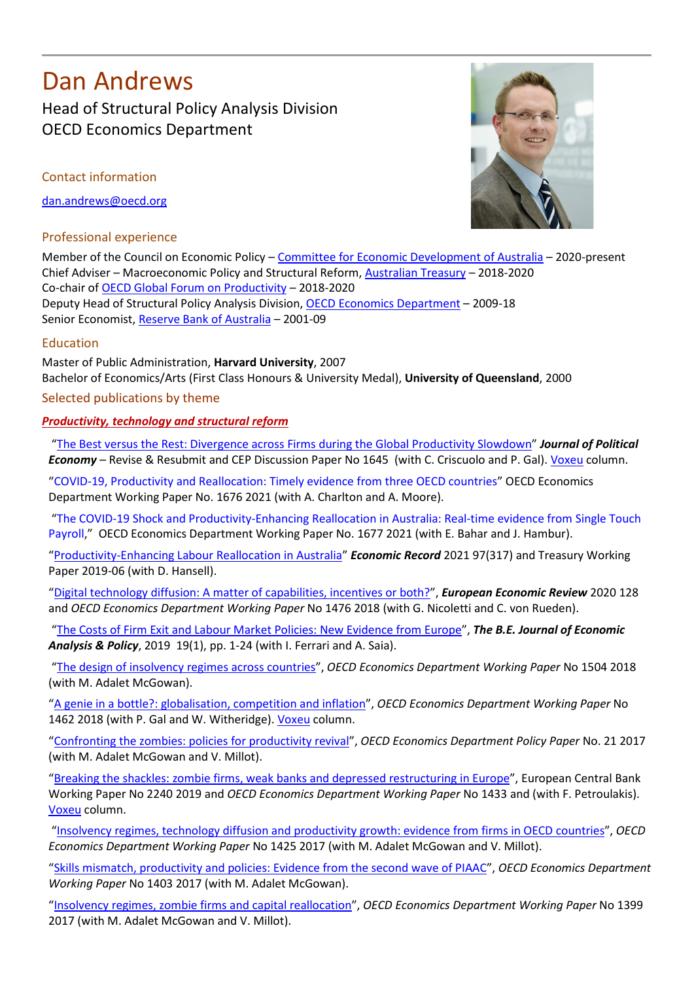# Dan Andrews Head of Structural Policy Analysis Division OECD Economics Department

Contact information

[dan.andrews@oecd.org](mailto:dan.andrews@oecd.org)

# Professional experience



Member of the Council on Economic Policy – [Committee for Economic Development of Australia](https://www.ceda.com.au/About/Our-People) – 2020-present Chief Adviser – Macroeconomic Policy and Structural Reform, [Australian Treasury](https://treasury.gov.au/) – 2018-2020 Co-chair of [OECD Global Forum on Productivity](https://www.oecd.org/global-forum-productivity/) – 2018-2020 Deputy Head of Structural Policy Analysis Division, OECD [Economics Department](https://www.oecd.org/economy/) – 2009-18 Senior Economist, [Reserve Bank of Australia](http://www.rba.gov.au/) – 2001-09

# Education

Master of Public Administration, **Harvard University**, 2007 Bachelor of Economics/Arts (First Class Honours & University Medal), **University of Queensland**, 2000

Selected publications by theme

# *Productivity, technology and structural reform*

["The Best versus the Rest: Divergence across Firms during the Global Productivity Slowdown"](http://cep.lse.ac.uk/pubs/download/dp1645.pdf) *Journal of Political Economy* – Revise & Resubmit and CEP Discussion Paper No 1645 (with C. Criscuolo and P. Gal). [Voxeu](https://voxeu.org/article/productivity-slowdown-s-dirty-secret-growing-performance-gap) column.

"COVID-19, Productivity and Reallocation: Timely evidence from three OECD countries" OECD Economics Department Working Paper No. 1676 2021 (with A. Charlton and A. Moore).

"The COVID-19 Shock and Productivity-Enhancing Reallocation in Australia: Real-time evidence from Single Touch Payroll," OECD Economics Department Working Paper No. 1677 2021 (with E. Bahar and J. Hambur).

["Productivity-Enhancing Labour Reallocation in Australia"](https://onlinelibrary.wiley.com/doi/10.1111/1475-4932.12601) *Economic Record* 2021 97(317) and Treasury Working Paper 2019-06 (with D. Hansell).

["Digital technology diffusion: A matter of capabilities, incentives or both?"](https://www.sciencedirect.com/science/article/pii/S0014292120301446), *European Economic Review* 2020 128 and *OECD Economics Department Working Paper* No 1476 2018 (with G. Nicoletti and C. von Rueden).

["The Costs of Firm Exit and Labour Market Policies: New Evidence from](https://www.degruyter.com/view/j/bejeap.2019.19.issue-1/bejeap-2017-0211/bejeap-2017-0211.xml?format=INT) Europe", *The B.E. Journal of Economic Analysis & Policy*, 2019 19(1), pp. 1-24 (with I. Ferrari and A. Saia).

["The design of insolvency regimes across countries"](https://www.oecd-ilibrary.org/economics/design-of-insolvency-regimes-across-countries_d44dc56f-en), *OECD Economics Department Working Paper* No 1504 2018 (with M. Adalet McGowan).

["A genie in a bottle?: globalisation, competition and inflation"](https://www.oecd-ilibrary.org/economics/a-genie-in-a-bottle_deda7e54-en), *OECD Economics Department Working Paper* No 1462 2018 (with P. Gal and W. Witheridge). [Voxeu](https://voxeu.org/article/inflation-globalisation-and-competition) column.

["Confronting the zombies: policies for productivity revival"](http://www.oecd-ilibrary.org/economics/confronting-the-zombies_f14fd801-en), *OECD Economics Department Policy Paper* No. 21 2017 (with M. Adalet McGowan and V. Millot).

["Breaking the shackles: zombie firms, weak banks and depressed restructuring in Europe"](https://www.ecb.europa.eu/pub/pdf/scpwps/ecb.wp2240%7E61e2d9dfec.en.pdf), European Central Bank Working Paper No 2240 2019 and *OECD Economics Department Working Paper* No 1433 and (with F. Petroulakis). [Voxeu](https://voxeu.org/article/zombie-firms-weak-banks-and-restructuring) column.

["Insolvency regimes, technology diffusion and productivity growth: evidence from firms in OECD countries"](http://www.oecd.org/officialdocuments/publicdisplaydocumentpdf/?cote=ECO/WKP(2017)57&docLanguage=En), *OECD Economics Department Working Paper* No 1425 2017 (with M. Adalet McGowan and V. Millot).

["Skills mismatch, productivity and policies: Evidence from the second wave of PIAAC"](http://www.oecd-ilibrary.org/docserver/download/65dab7c6-en.pdf?expires=1501681343&id=id&accname=guest&checksum=D4768C903C3D25E8FFE74961EAC5DEB2), *OECD Economics Department Working Paper* No 1403 2017 (with M. Adalet McGowan).

["Insolvency regimes, zombie firms and capital reallocation"](http://www.oecd-ilibrary.org/economics/insolvency-regimes-zombie-firms-and-capital-reallocation_5a16beda-en), *OECD Economics Department Working Paper* No 1399 2017 (with M. Adalet McGowan and V. Millot).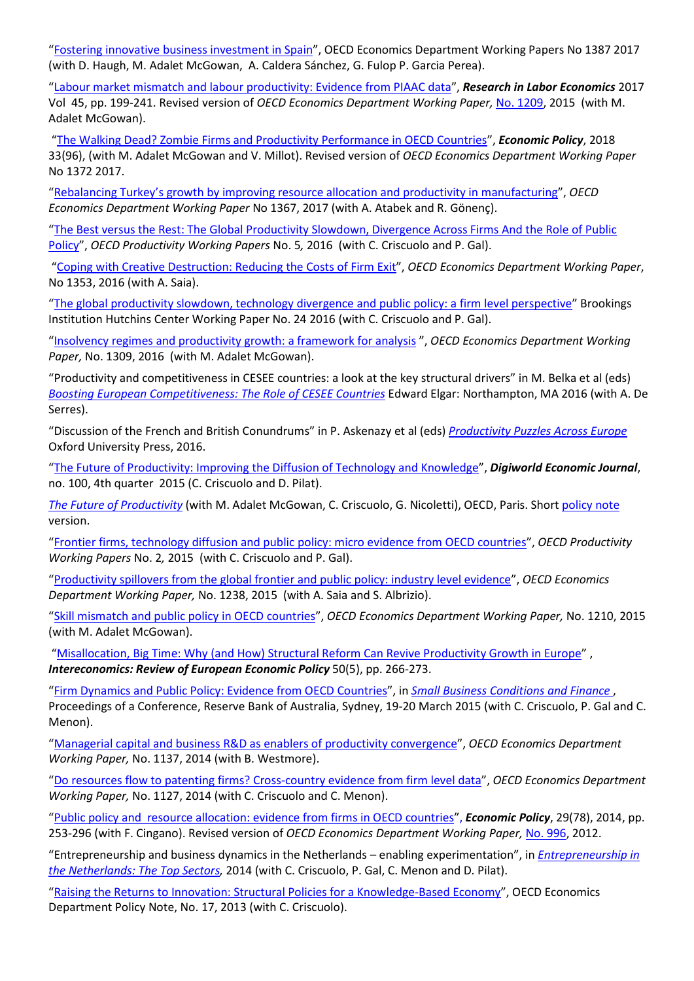["Fostering innovative business investment in Spain"](http://www.oecd-ilibrary.org/economics/fostering-innovative-business-investment-in-spain_f957c2cc-en), OECD Economics Department Working Papers No 1387 2017 (with D. Haugh, M. Adalet McGowan, A. Caldera Sánchez, G. Fulop P. Garcia Perea).

["Labour market mismatch and labour productivity: Evidence from PIAAC data"](http://www.emeraldinsight.com/doi/full/10.1108/S0147-912120170000045006), *Research in Labor Economics* 2017 Vol 45, pp. 199-241. Revised version of *OECD Economics Department Working Paper,* [No. 1209,](http://www.oecd-ilibrary.org/economics/labour-market-mismatch-and-labour-productivity_5js1pzx1r2kb-en) 2015 (with M. Adalet McGowan).

["The Walking Dead? Zombie Firms and Productivity Performance in OECD Countries"](https://academic.oup.com/economicpolicy/article/33/96/685/5085309?login=true), *Economic Policy*, 2018 33(96), (with M. Adalet McGowan and V. Millot). Revised version of *OECD Economics Department Working Paper*  No 1372 2017.

["Rebalancing Turkey's growth by improving resource allocation and productivity in manufacturing"](http://www.oecd.org/eco/Rebalancing-Turkey-s-growth-by-improving-resource-allocation-and-productivity-in-manufacturing.pdf), *OECD Economics Department Working Paper* No 1367, 2017 (with A. Atabek and R. Gönenç).

"The Best versus the Rest: The Global Productivity Slowdown, Divergence Across Firms And the Role of Public Policy", *OECD Productivity Working Papers* No. 5*,* 2016 (with C. Criscuolo and P. Gal).

["Coping with Creative Destruction: Reducing the Costs of Firm Exit"](http://www.oecd.org/eco/Coping-with-creative-destruction-reducing-the-costs-of-firm-exit.pdf), *OECD Economics Department Working Paper*, No 1353, 2016 (with A. Saia).

"The global productivity slowdown, technology [divergence and public policy: a firm level perspective"](https://www.brookings.edu/wp-content/uploads/2016/09/wp24_andrews-et-al_final.pdf) Brookings Institution Hutchins Center Working Paper No. 24 2016 (with C. Criscuolo and P. Gal).

["Insolvency regimes and productivity growth: a framework for analysis](http://www.oecd.org/eco/insolvency-regimes-and-productivity-growth-a-framework-for-analysis.pdf) ", *OECD Economics Department Working*  Paper, No. 1309, 2016 (with M. Adalet McGowan).

"Productivity and competitiveness in CESEE countries: a look at the key structural drivers" in M. Belka et al (eds) *[Boosting European Competitiveness: The Role of CESEE Countries](http://www.e-elgar.com/shop/boosting-european-competitiveness)* Edward Elgar: Northampton, MA 2016 (with A. De Serres).

"Discussion of the French and British Conundrums" in P. Askenazy et al (eds) *[Productivity Puzzles Across Europe](https://global.oup.com/academic/product/productivity-puzzles-across-europe-9780198786160?cc=fr&lang=en&)* Oxford University Press, 2016.

["The Future of Productivity: Improving the Diffusion of Technology and Knowledge"](https://papers.ssrn.com/sol3/papers.cfm?abstract_id=2845360), *Digiworld Economic Journal*, no. 100, 4th quarter 2015 (C. Criscuolo and D. Pilat).

*[The Future of Productivity](http://www.oecd.org/eco/growth/OECD-2015-The-future-of-productivity-book.pdf)* (with M. Adalet McGowan, C. Criscuolo, G. Nicoletti), OECD, Paris. Short [policy note](http://www.oecd.org/eco/growth/The-future-of-productivity-policy-note-July-2015.pdf) version.

["Frontier firms, technology diffusion and public policy: micro evidence from OECD countries"](http://www.oecd.org/eco/growth/Frontier-Firms-Technology-Diffusion-and-Public-Policy-Micro-Evidence-from-OECD-Countries.pdf), *OECD Productivity Working Papers* No. 2*,* 2015 (with C. Criscuolo and P. Gal).

["Productivity spillovers from the global frontier and public policy: industry level evidence"](http://www.oecd.org/eco/growth/Productivity-Spillovers-from-the-Global-Frontier-and-Public-Policy-Industry-Level-%20Evidence.pdf), *OECD Economics Department Working Paper,* No. 1238, 2015 (with A. Saia and S. Albrizio).

["Skill mismatch and public policy in OECD countries"](http://www.oecd-ilibrary.org/economics/skill-mismatch-and-public-policy-in-oecd-countries_5js1pzw9lnwk-en), *OECD Economics Department Working Paper,* No. 1210, 2015 (with M. Adalet McGowan).

["Misallocation, Big Time: Why \(and How\) Structural Reform Can Revive Productivity Growth in Europe"](http://www.intereconomics.eu/archive/year/2015/5/structural-reforms-in-the-eu-policy-prescriptions-to-boost-productivity/) , *Intereconomics: Review of European Economic Policy* 50(5), pp. 266-273.

["Firm Dynamics and Public Policy: Evidence from OECD Countries"](http://www.rba.gov.au/publications/confs/2015/pdf/andrews-criscuolo-gal-menon.pdf), in *[Small Business Conditions and Finance](http://www.rba.gov.au/publications/confs/2015/index.html)* , Proceedings of a Conference, Reserve Bank of Australia, Sydney, 19-20 March 2015 (with C. Criscuolo, P. Gal and C. Menon).

["Managerial capital and business R&D as enablers of productivity convergence"](http://www.oecd-ilibrary.org/economics/managerial-capital-and-business-r-d-as-enablers-of-productivity-convergence_5jxx3d441knr-en), *OECD Economics Department Working Paper,* No. 1137, 2014 (with B. Westmore).

["Do resources flow to patenting firms? Cross-country evidence from firm level data"](http://www.oecd-ilibrary.org/economics/do-resources-flow-to-patenting-firms_5jz2lpmk0gs6-en), *OECD Economics Department Working Paper,* No. 1127, 2014 (with C. Criscuolo and C. Menon).

["Public policy and resource allocation: evidence from firms in OECD countries"](http://onlinelibrary.wiley.com/doi/10.1111/1468-0327.12028/abstract), *Economic Policy*, 29(78), 2014, pp. 253-296 (with F. Cingano). Revised version of *OECD Economics Department Working Paper,* [No. 996,](http://www.oecd-ilibrary.org/economics/public-policy-and-resource-allocation_5k9158wpf727-en) 2012.

"Entrepreneurship and business dynamics in the Netherlands – enabling experimentation", in *[Entrepreneurship in](http://www.entrepreneurship-sme.eu/pdf-ez/A201417.pdf)  [the Netherlands: The Top Sectors,](http://www.entrepreneurship-sme.eu/pdf-ez/A201417.pdf)* 2014 (with C. Criscuolo, P. Gal, C. Menon and D. Pilat).

["Raising the Returns to Innovation: Structural Policies for a Knowledge-Based Economy"](http://www.oecd.org/eco/growth/KBC%20Policy%20note.pdf), OECD Economics Department Policy Note, No. 17, 2013 (with C. Criscuolo).